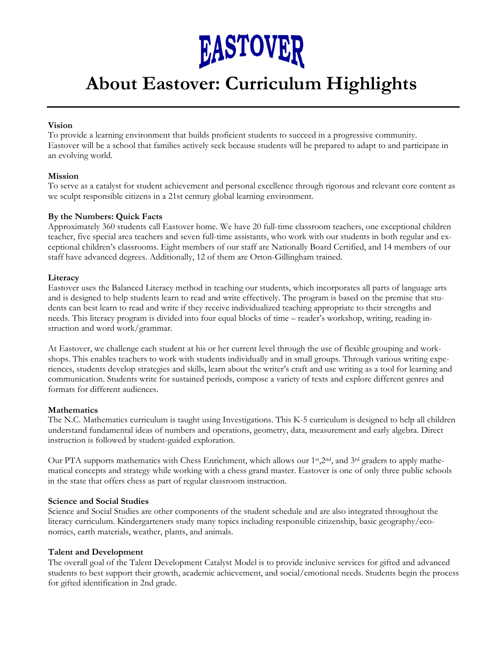

## **About Eastover: Curriculum Highlights**

#### **Vision**

To provide a learning environment that builds proficient students to succeed in a progressive community. Eastover will be a school that families actively seek because students will be prepared to adapt to and participate in an evolving world.

#### **Mission**

To serve as a catalyst for student achievement and personal excellence through rigorous and relevant core content as we sculpt responsible citizens in a 21st century global learning environment.

#### **By the Numbers: Quick Facts**

Approximately 360 students call Eastover home. We have 20 full-time classroom teachers, one exceptional children teacher, five special area teachers and seven full-time assistants, who work with our students in both regular and exceptional children's classrooms. Eight members of our staff are Nationally Board Certified, and 14 members of our staff have advanced degrees. Additionally, 12 of them are Orton-Gillingham trained.

#### **Literacy**

Eastover uses the Balanced Literacy method in teaching our students, which incorporates all parts of language arts and is designed to help students learn to read and write effectively. The program is based on the premise that students can best learn to read and write if they receive individualized teaching appropriate to their strengths and needs. This literacy program is divided into four equal blocks of time – reader's workshop, writing, reading instruction and word work/grammar.

At Eastover, we challenge each student at his or her current level through the use of flexible grouping and workshops. This enables teachers to work with students individually and in small groups. Through various writing experiences, students develop strategies and skills, learn about the writer's craft and use writing as a tool for learning and communication. Students write for sustained periods, compose a variety of texts and explore different genres and formats for different audiences.

#### **Mathematics**

The N.C. Mathematics curriculum is taught using Investigations. This K-5 curriculum is designed to help all children understand fundamental ideas of numbers and operations, geometry, data, measurement and early algebra. Direct instruction is followed by student-guided exploration.

Our PTA supports mathematics with Chess Enrichment, which allows our 1<sup>st</sup>,2<sup>nd</sup>, and 3<sup>rd</sup> graders to apply mathematical concepts and strategy while working with a chess grand master. Eastover is one of only three public schools in the state that offers chess as part of regular classroom instruction.

#### **Science and Social Studies**

Science and Social Studies are other components of the student schedule and are also integrated throughout the literacy curriculum. Kindergarteners study many topics including responsible citizenship, basic geography/economics, earth materials, weather, plants, and animals.

#### **Talent and Development**

The overall goal of the Talent Development Catalyst Model is to provide inclusive services for gifted and advanced students to best support their growth, academic achievement, and social/emotional needs. Students begin the process for gifted identification in 2nd grade.